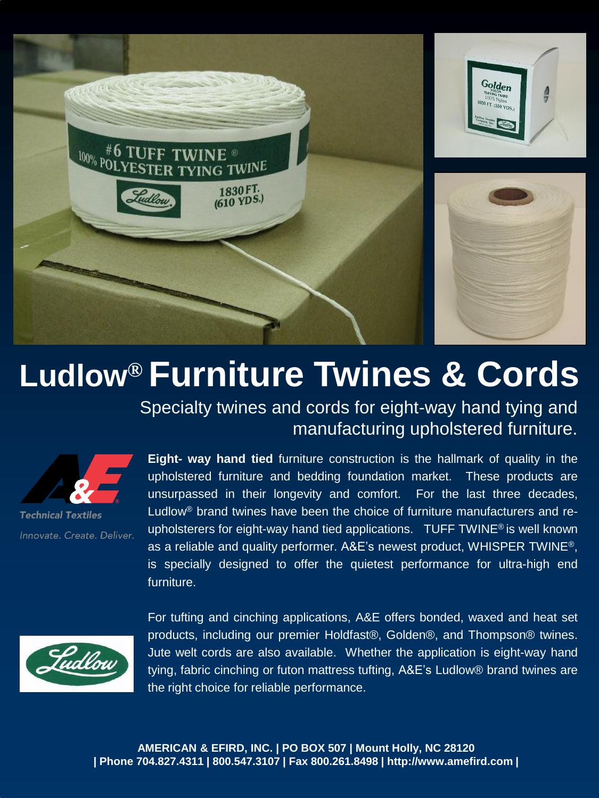

# **Ludlow® Furniture Twines & Cords**

Specialty twines and cords for eight-way hand tying and manufacturing upholstered furniture.



**Technical Textiles** Innovate. Create. Deliver.

**Eight- way hand tied** furniture construction is the hallmark of quality in the upholstered furniture and bedding foundation market. These products are unsurpassed in their longevity and comfort. For the last three decades, Ludlow® brand twines have been the choice of furniture manufacturers and reupholsterers for eight-way hand tied applications. TUFF TWINE® is well known as a reliable and quality performer. A&E's newest product, WHISPER TWINE®, is specially designed to offer the quietest performance for ultra-high end furniture.



For tufting and cinching applications, A&E offers bonded, waxed and heat set products, including our premier Holdfast®, Golden®, and Thompson® twines. Jute welt cords are also available. Whether the application is eight-way hand tying, fabric cinching or futon mattress tufting, A&E's Ludlow® brand twines are the right choice for reliable performance.